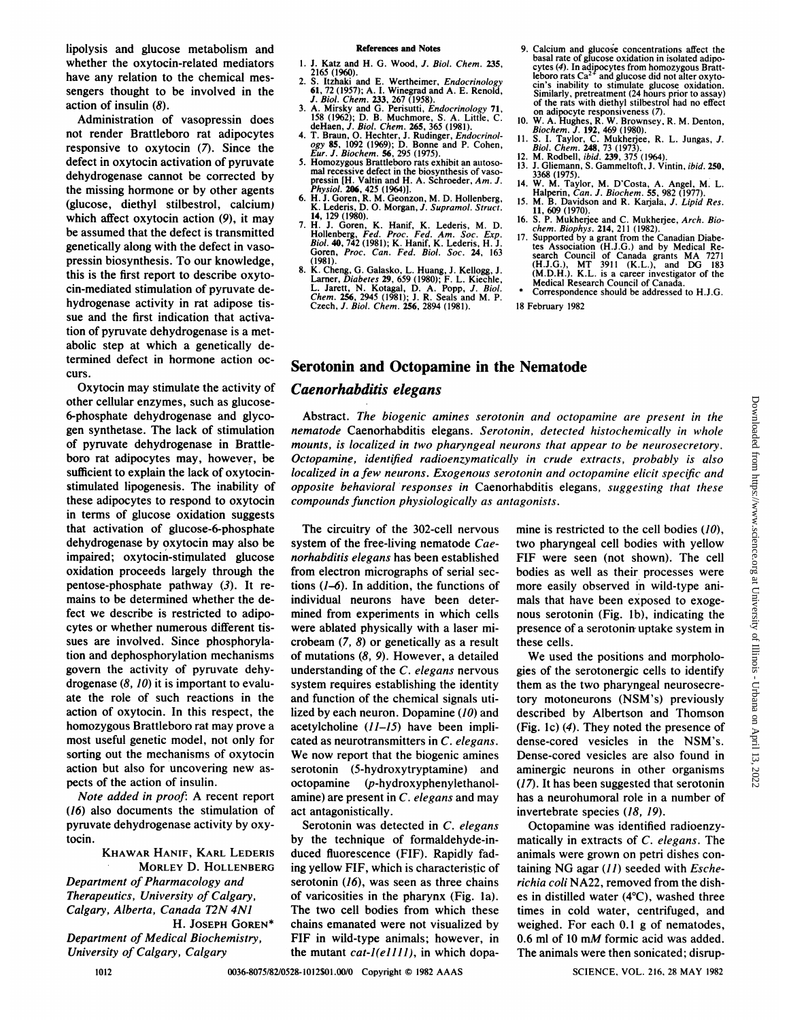lipolysis and glucose metabolism and whether the oxytocin-related mediators have any relation to the chemical messengers thought to be involved in the action of insulin (8).

Administration of vasopressin does not render Brattleboro rat adipocytes responsive to oxytocin (7). Since the defect in oxytocin activation of pyruvate dehydrogenase cannot be corrected by the missing hormone or by other agents (glucose, diethyl stilbestrol, calcium) which affect oxytocin action (9), it may be assumed that the defect is transmitted genetically along with the defect in vasopressin biosynthesis. To our knowledge, this is the first report to describe oxytocin-mediated stimulation of pyruvate dehydrogenase activity in rat adipose tissue and the first indication that activation of pyruvate dehydrogenase is a metabolic step at which a genetically determined defect in hormone action occurs.

Oxytocin may stimulate the activity of other cellular enzymes, such as glucose-6-phosphate dehydrogenase and glycogen synthetase. The lack of stimulation of pyruvate dehydrogenase in Brattleboro rat adipocytes may, however, be sufficient to explain the lack of oxytocinstimulated lipogenesis. The inability of these adipocytes to respond to oxytocin in terms of glucose oxidation suggests that activation of glucose-6-phosphate dehydrogenase by oxytocin may also be impaired; oxytocin-stimulated glucose oxidation proceeds largely through the pentose-phosphate pathway (3). It remains to be determined whether the defect we describe is restricted to adipocytes or whether numerous different tissues are involved. Since phosphorylation and dephosphorylation mechanisms govern the activity of pyruvate dehydrogenase  $(8, 10)$  it is important to evaluate the role of such reactions in the action of oxytocin. In this respect, the homozygous Brattleboro rat may prove a most useful genetic model, not only for sorting out the mechanisms of oxytocin action but also for uncovering new aspects of the action of insulin.

Note added in proof: A recent report (16) also documents the stimulation of pyruvate dehydrogenase activity by oxytocin.

KHAWAR HANIF, KARL LEDERIS MORLEY D. HOLLENBERG Department of Pharmacology and Therapeutics, University of Calgary, Calgary, Alberta, Canada T2N 4N1 H. JOSEPH GOREN\* Department of Medical Biochemistry, University of Calgary, Calgary

#### References and Notes

- 1. J. Katz and H. G. Wood, *J. Biol. Chem.* 235, 2165 (1960).
- 2. S. Itzhaki and E. Wertheimer, Endocrinology 61, 72 (1957); A. I. Winegrad and A. E. Renold, J. Biol. Chem. 233, 267 (1958).
- Mirsky and G. Perisutti, Endocrinology 71 158 (1962); D. B. Muchmore, S. A. Little, C. deHaen, J. Biol. Chem. 265, 365 (1981).
- 4. T. Braun, O. Hechter, J. Rudinger, *Endocrinology* 85, 1092 (1969); D. Bonne and P. Cohen, *Eur. J. Biochem.* 56, 295 (1975).
- 5. Homozygous Brattleboro rats exhibit an autosomal recessive defect in the biosynthesis of vasopressin [H. Valtin and H. A. Schroeder, Am. J. Physiol. 206, 425 (1964)]. 6. H. J. Goren, R. M. Geonzon, M. D. Hollenberg,
- .. Lederis, D. O. Morgan, J. Supramol. Struct.
- 14, 129 (1980).<br>7. H. J. Goren, K. Hanif, K. Lederis, M. D.<br>Hollenberg, Fed. Proc. Fed. Am. Soc. Exp.<br>Biol. 40, 742 (1981); K. Hanif, K. Lederis, H. J. Goren, Proc. Can. Fed. Biol. Soc. 24, 163 (1981).
- 8. K. Cheng, G. Galasko, L. Huang, J. Kellogg, J. Lamer, Diabetes 29, 659 (1980); F. L. Kiechle, L. Jarett, N. Kotagal, D. A. Popp, J. Biol. Chem. 256, 2945 (1981); J. R. Seals and M. P. Czech, J. Biol. Chem. 256, 2894 (1981).
- 9. Calcium and glucose concentrations affect the basal rate of glucose oxidation in isolated adipocytes (4). In adipocytes from homozygous Bratt-<br>leboro rats Ca<sup>2+</sup> and glucose did not alter oxytocin's inability to stimulate glucose oxidation. Similarly, pretreatment (24 hours prior to assay) of the rats with diethyl stilbestrol had no effect
- on adipocyte responsiveness (7). 10. W. A. Hughes, R. W. Brownsey, R. M. Denton,
- Biochem. J. 192, 469 (1980). 11. S. I. Taylor, C. Mukherjee, R. L. Jungas, J. Biol. Chem. 248, 73 (1973). 12. M. Rodbell, ibid. 239, 375 (1964).
- 
- 13. J. Gliemann, S. Gammeltoft, J. Vintin, *ibid.* 250,<br>3368 (1975).
- 14. W. M. Taylor, M. D'Costa, A. Angel, M. L.<br>Halperin, *Can. J. Biochem.* 55, 982 (1977).<br>15. M. B. Davidson and R. Karjala, *J. Lipid Res*.
- 11, 609 (1970). 16. S. P. Mukherjee and C. Mukherjee, Arch. Bio-<br>chem. Biophys. 214, 211 (1982).
- 17. Supported by a grant from the Canadian Diabe-<br>tes Association (H.J.G.) and by Medical Re-<br>search Council of Canada grants MA 7271<br>(H.J.G.), MT 3911 (K.L.), and DG 183<br>(M.D.H.). K.L. is a career investigator of the Medical Research Council of Canada.
- Correspondence should be addressed to H.J.G.

18 February 1982

# Serotonin and Octopamine in the Nematode

### Caenorhabditis elegans

Abstract. The biogenic amines serotonin and octopamine are present in the nematode Caenorhabditis elegans. Serotonin, detected histochemically in whole mounts, is localized in two pharyngeal neurons that appear to be neurosecretory. Octopamine, identified radioenzymatically in crude extracts, probably is also localized in a few neurons. Exogenous serotonin and octopamine elicit specific and opposite behavioral responses in Caenorhabditis elegans, suggesting that these compounds function physiologically as antagonists.

The circuitry of the 302-cell nervous system of the free-living nematode Caenorhabditis elegans has been established from electron micrographs of serial sections  $(1-6)$ . In addition, the functions of individual neurons have been determined from experiments in which cells were ablated physically with a laser microbeam (7, 8) or genetically as a result of mutations (8, 9). However, a detailed understanding of the C. elegans nervous system requires establishing the identity and function of the chemical signals utilized by each neuron. Dopamine (10) and acetylcholine (11-15) have been implicated as neurotransmitters in C. elegans. We now report that the biogenic amines serotonin (5-hydroxytryptamine) and octopamine (p-hydroxyphenylethanolamine) are present in  $C$ . elegans and may act antagonistically.

Serotonin was detected in C. elegans by the technique of formaldehyde-induced fluorescence (FIF). Rapidly fading yellow FIF, which is characteristic of serotonin (16), was seen as three chains of varicosities in the pharynx (Fig. la). The two cell bodies from which these chains emanated were not visualized by FIF in wild-type animals; however, in the mutant cat- $l$ (ell]]), in which dopamine is restricted to the cell bodies  $(10)$ , two pharyngeal cell bodies with yellow FIF were seen (not shown). The cell bodies as well as their processes were more easily observed in wild-type animals that have been exposed to exogenous serotonin (Fig. lb), indicating the presence of a serotonin- uptake system in these cells.

We used the positions and morphologies of the serotonergic cells to identify them as the two pharyngeal neurosecretory motoneurons (NSM's) previously described by Albertson and Thomson (Fig. lc) (4). They noted the presence of dense-cored vesicles in the NSM's. Dense-cored vesicles are also found in aminergic neurons in other organisms (17). It has been suggested that serotonin has a neurohumoral role in a number of invertebrate species (18, 19).

Octopamine was identified radioenzymatically in extracts of C. elegans. The animals were grown on petri dishes containing NG agar  $(11)$  seeded with *Esche*richia coli NA22, removed from the dishes in distilled water (4°C), washed three times in cold water, centrifuged, and weighed. For each 0.1 g of nematodes, 0.6 ml of <sup>10</sup> mM formic acid was added. The animals were then sonicated; disrup-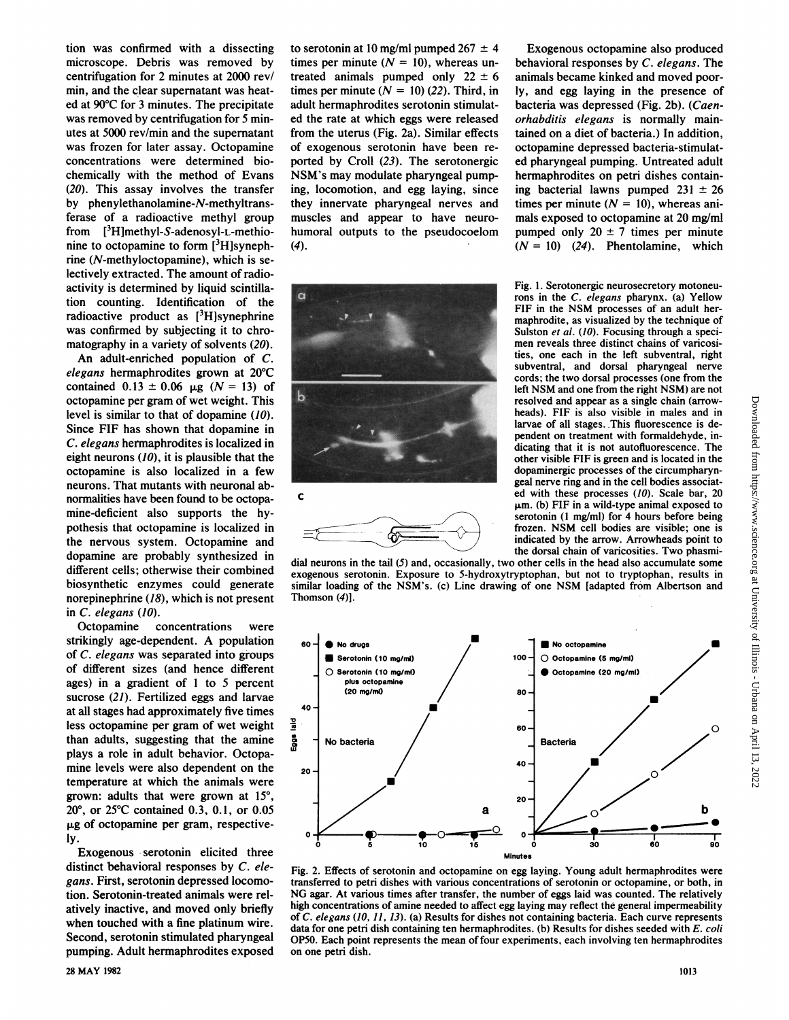tion was confirmed with a dissecting microscope. Debris was removed by centrifugation for 2 minutes at 2000 rev/ min, and the clear supematant was heated at 90°C for 3 minutes. The precipitate was removed by centrifugation for 5 minutes at 5000 rev/min and the supernatant was frozen for later assay. Octopamine concentrations were determined biochemically with the method of Evans (20). This assay involves the transfer by phenylethanolamine-N-methyltransferase of a radioactive methyl group from [3H]methyl-S-adenosyl-L-methionine to octopamine to form  $[3H]$ synephrine (N-methyloctopamine), which is selectively extracted. The amount of radioactivity is determined by liquid scintillation counting. Identification of the radioactive product as  $[3H]$ synephrine was confirmed by subjecting it to chromatography in a variety of solvents (20).

An adult-enriched population of C. elegans hermaphrodites grown at 20°C contained  $0.13 \pm 0.06$  µg (N = 13) of octopamine per gram of wet weight. This level is similar to that of dopamine (10). Since FIF has shown that dopamine in C. elegans hermaphrodites is localized in eight neurons  $(10)$ , it is plausible that the octopamine is also localized in a few neurons. That mutants with neuronal abnormalities have been found to be octopamine-deficient also supports the hypothesis that octopamine is localized in the nervous system. Octopamine and dopamine are probably synthesized in different cells; otherwise their combined biosynthetic enzymes could generate norepinephrine (18), which is not present in  $C$ . elegans  $(10)$ .

Octopamine concentrations were strikingly age-dependent. A population of C. elegans was separated into groups of different sizes (and hence different ages) in a gradient of <sup>1</sup> to 5 percent sucrose (21). Fertilized eggs and larvae at all stages had approximately five times less octopamine per gram of wet weight than adults, suggesting that the amine plays a role in adult behavior. Octopamine levels were also dependent on the temperature at which the animals were grown: adults that were grown at 15°, 20°, or 25°C contained 0.3, 0.1, or 0.05  $\mu$ g of octopamine per gram, respectively.

Exogenous - serotonin elicited three distinct behavioral responses by C. elegans. First, serotonin depressed locomotion. Serotonin-treated animals were relatively inactive, and moved only briefly when touched with a fine platinum wire. Second, serotonin stimulated pharyngeal pumping. Adult hermaphrodites exposed

<sup>28</sup> MAY <sup>1982</sup>

to serotonin at 10 mg/ml pumped  $267 \pm 4$ times per minute  $(N = 10)$ , whereas untreated animals pumped only  $22 \pm 6$ times per minute  $(N = 10)$  (22). Third, in adult hermaphrodites serotonin stimulated the rate at which eggs were released from the uterus (Fig. 2a). Similar effects of exogenous serotonin have been reported by Croll (23). The serotonergic NSM's may modulate pharyngeal pumping, locomotion, and egg laying, since they innervate pharyngeal nerves and muscles and appear to have neurohumoral outputs to the pseudocoelom (4).





Exogenous octopamine also produced behavioral responses by  $C$ . elegans. The animals became kinked and moved poorly, and egg laying in the presence of bacteria was depressed (Fig. 2b). (Caenorhabditis elegans is normally maintained on a diet of bacteria.) In addition, octopamine depressed bacteria-stimulated pharyngeal pumping. Untreated adult hermaphrodites on petri dishes containing bacterial lawns pumped  $231 \pm 26$ times per minute  $(N = 10)$ , whereas animals exposed to octopamine at 20 mg/ml pumped only  $20 \pm 7$  times per minute  $(N = 10)$  (24). Phentolamine, which

Fig. 1. Serotonergic neurosecretory motoneurons in the C. elegans pharynx. (a) Yellow FIF in the NSM processes of an adult hermaphrodite, as visualized by the technique of Sulston et al. (10). Focusing through a specimen reveals three distinct chains of varicosities, one each in the left subventral, right subventral, and dorsal pharyngeal nerve cords; the two dorsal processes (one from the left NSM and one from the right NSM) are not resolved and appear as a single chain (arrowheads). FIF is also visible in males and in larvae of all stages. This fluorescence is dependent on treatment with formaldehyde, indicating that it is not autofluorescence. The other visible FIF is green and is located in the dopaminergic processes of the circumpharyngeal nerve ring and in the cell bodies associat- $\epsilon$  ed with these processes (10). Scale bar, 20  $µm.$  (b) FIF in a wild-type animal exposed to serotonin (I mg/ml) for 4 hours before being frozen. NSM cell bodies are visible; one is indicated by the arrow. Arrowheads point to the dorsal chain of varicosities. Two phasmi-

dial neurons in the tail (5) and, occasionally, two other cells in the head also accumulate some exogenous serotonin. Exposure to 5-hydroxytryptophan, but not to tryptophan, results in similar loading of the NSM's. (c) Line drawing of one NSM [adapted from Albertson and Thomson (4)].



Fig. 2. Effects of serotonin and octopamine on egg laying. Young adult hermaphrodites were transferred to petri dishes with various concentrations of serotonin or octopamine, or both, in NG agar. At various times after transfer, the number of eggs laid was counted. The relatively high concentrations of amine needed to affect egg laying may reflect the general impermeability of C. elegans (10, 11, 13). (a) Results for dishes not containing bacteria. Each curve represents data for one petri dish containing ten hermaphrodites. (b) Results for dishes seeded with E. coli OP50. Each point represents the mean of four experiments, each involving ten hermaphrodites on one petri dish.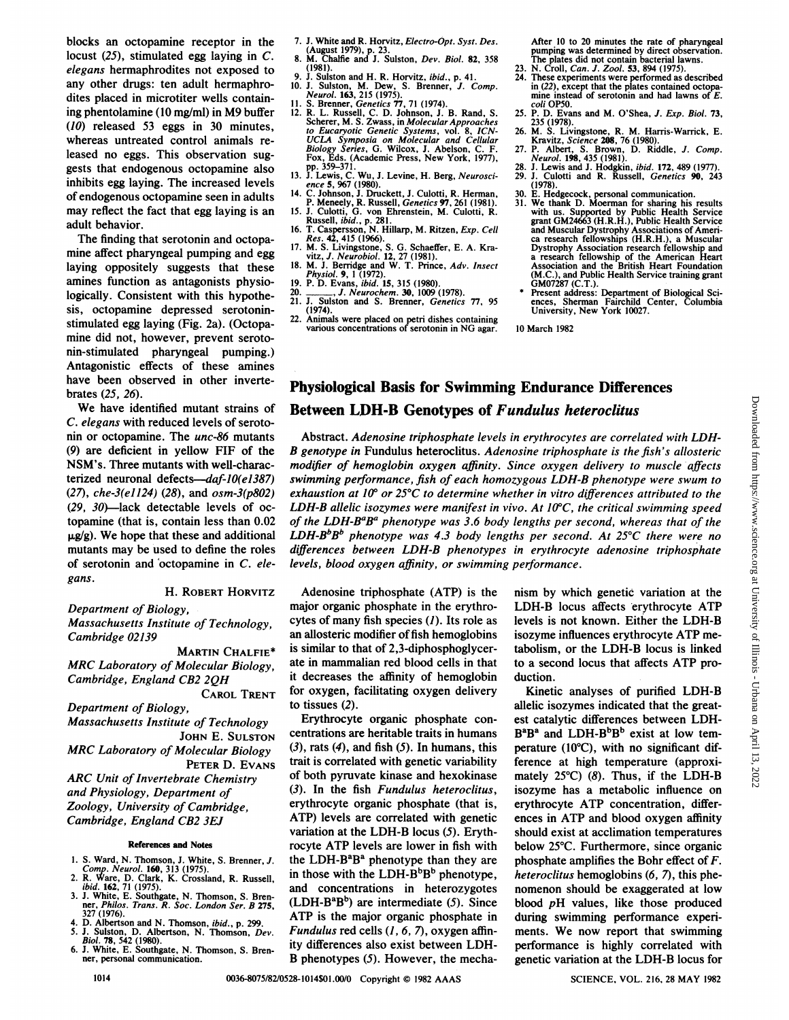blocks an octopamine receptor in the locust  $(25)$ , stimulated egg laying in C. elegans hermaphrodites not exposed to any other drugs: ten adult hermaphrodites placed in microtiter wells containing phentolamine (10 mg/ml) in M9 buffer (10) released 53 eggs in 30 minutes, whereas untreated control animals released no eggs. This observation suggests that endogenous octopamine also inhibits egg laying. The increased levels of endogenous octopamine seen in adults may reflect the fact that egg laying is an adult behavior.

The finding that serotonin and octopamine affect pharyngeal pumping and egg laying oppositely suggests that these amines function as antagonists physiologically. Consistent with this hypothesis, octopamine depressed serotoninstimulated egg laying (Fig. 2a). (Octopamine did not, however, prevent serotonin-stimulated pharyngeal pumping.) Antagonistic effects of these amines have been observed in other invertebrates (25, 26).

We have identified mutant strains of C. elegans with reduced levels of serotonin or octopamine. The unc-86 mutants (9) are deficient in yellow FIF of the NSM's. Three mutants with well-characterized neuronal defects—daf-10(e1387)  $(27)$ , che-3(e1124) (28), and osm-3(p802)  $(29, 30)$ -lack detectable levels of octopamine (that is, contain less than 0.02  $\mu$ g/g). We hope that these and additional mutants may be used to define the roles of serotonin and 'octopamine in C. elegans.

#### H. ROBERT HORVITZ

Department of Biology,

Massachusetts Institute of Technology, Cambridge 02139

MARTIN CHALFIE\* MRC Laboratory of Molecular Biology, Cambridge, England CB2 2QH CAROL TRENT

Department of Biology, Massachusetts Institute of Technology JOHN E. SULSTON MRC Laboratory of Molecular Biology PETER D. EVANS

ARC Unit of Invertebrate Chemistry and Physiology, Department of Zoology, University of Cambridge, Cambridge, England CB2 3EJ

#### References and Notes

- 1. S. Ward, N. Thomson, J. White, S. Brenner, J.
- Comp. Neurol. 160, 313 (1975).<br>
2. R. Ware, D. Clark, K. Crossland, R. Russell,<br>
ibid. 162, 71 (1975).<br>
3. J. White, E. Southgate, N. Thomson, S. Bren-<br>
ner, Philos. Trans. R. Soc. London Ser. B 275,
- 
- 
- 
- 327 (1976).<br>4. D. Albertson and N. Thomson, *ibid.*, p. 299.<br>5. J. Sulston, D. Albertson, N. Thomson, *Dev.*<br>*Biol.* 78, 542 (1980).<br>6. J. White, E. Southgate, N. Thomson, S. Brenner, personal communication.
- 7. J. White and R. Horvitz, Electro-Opt. Syst. Des. (August 1979), p. 23. 8. M. Chalfie and J. Sulston, Dev. Biol. 82, 358
- (1981).
- 9. J. Sulston and H. R. Horvitz, ibid., p. 41. 10. J. Sulston, M. Dew, S. Brenner, J. Comp. Neurol. 163, 215 (1975).
- 
- 11. S. Brenner, Genetics 77, 71 (1974).<br>12. R. L. Russell, C. D. Johnson, J. B. Rand, S.<br>Scherer, M. S. Zwass, in Molecular Approaches to Eucaryotic Genetic Systems, vol. 8, ICN-<br>UCLA Symposia on Molecular and Cellular<br>Biology Series, G. Wilcox, J. Abelson, C. F.<br>Fox, Eds. (Academic Press, New York, 1977),<br>pp. 359–371.<br>31. Levine, H. Berg, Neurosci-<br>ence
- 14. C. Johnson, J. Druckett, J. Culotti, R. Herman,
- P. Meneely, R. Russell, Genetics 97, 261 (1981). 15. J. Culotti, G. von Ehrenstein, M. Culotti, R.
- Russell, *ibid.*, p. 281.<br>16. T. Caspersson, N. Hillarp, M. Ritzen, *Exp. Cell*
- Res. 42, 415 (1966). 17. M. S. Livingstone, S. G. Schaeffer, E. A. Kra-vitz, J. Neurobiol. 12, 27 (1981).
- 18. M. J. Berridge and W. T. Prince, Adv. Insect<br>Physiol. 9, 1 (1972).<br>19. P. D. Evans, ibid. 15, 315 (1980).
- , J. Neurochem. 30, 1009 (1978).
- 21. J. Sulston and S. Brenner, Genetics 77, 95 (1974).
- 22. Animals were placed on petri dishes containing various concentrations of serotonin in NG agar.
- After 10 to 20 minutes the rate of pharyngeal pumping was determined by direct observation. The plates did not contain bacterial lawns.
- 23. N. Croll, Can. J. Zool. 53, 894 (1975).<br>24 These experiments were performed as 24. These experiments were performed as described in (22), except that the plates contained octopa-mine instead of serotonin and had lawns of E. coli OP50.
- 25. P. D. Evans and M. O'Shea, J. Exp. Biol. 73, 235 (1978).
- 26. M. S. Livingstone, R. M. Harris-Warrick, E. Kravitz, Science 208, 76 (1980).
- 27. P. Albert, S. Brown, D. Riddle, J. Comp. Neurol. 198, 435 (1981).
- 28. J. Lewis and J. Hodgkin, *ibid.* 172, 489 (1977).<br>29. J. Culotti and R. Russell, *Genetics* 90. 2 J. Culotti and R. Russell, Genetics 90, 243
- 
- (1978). 30. E. Hedgecock, personal communication. 31. We thank D. Moerman for sharing his results with us. Supported by Public Health Service grant GM24663 (H.R.H.), Public Health Service and Muscular Dystrophy Associations of Ameri-ca research fellowships (H.R.H.), a Muscular Dystrophy Association research fellowship and a research fellowship of the American Heart Association and the British Heart Foundation (M.C.), and Public Health Service training grant GM07287 (C.T.).
- Present address: Department of Biological Sci-<br>ences. Sherman Fairchild Center. Columbia ences, Sherman Fairchild Center, Columbia University, New York 10027.

10 March 1982

# Physiological Basis for Swimming Endurance Differences Between LDH-B Genotypes of Fundulus heteroclitus

Abstract. Adenosine triphosphate levels in erythrocytes are correlated with LDH-B genotype in Fundulus heteroclitus. Adenosine triphosphate is the fish's allosteric modifier of hemoglobin oxygen affinity. Since oxygen delivery to muscle affects swimming performance, fish of each homozygous LDH-B phenotype were swum to exhaustion at  $10^{\circ}$  or  $25^{\circ}$ C to determine whether in vitro differences attributed to the LDH-B allelic isozymes were manifest in vivo. At  $10^{\circ}$ C, the critical swimming speed of the LDH- $B^aB^a$  phenotype was 3.6 body lengths per second, whereas that of the LDH-B<sup>b</sup>B<sup>b</sup> phenotype was 4.3 body lengths per second. At 25°C there were no differences between LDH-B phenotypes in erythrocyte adenosine triphosphate levels, blood oxygen affinity, or swimming performance.

Adenosine triphosphate (ATP) is the major organic phosphate in the erythrocytes of many fish species  $(I)$ . Its role as an allosteric modifier of fish hemoglobins is similar to that of 2,3-diphosphoglycerate in mammalian red blood cells in that it decreases the affinity of hemoglobin for oxygen, facilitating oxygen delivery to tissues (2).

Erythrocyte organic phosphate concentrations are heritable traits in humans  $(3)$ , rats  $(4)$ , and fish  $(5)$ . In humans, this trait is correlated with genetic variability of both pyruvate kinase and hexokinase (3). In the fish Fundulus heteroclitus, erythrocyte organic phosphate (that is, ATP) levels are correlated with genetic variation at the LDH-B locus (5). Erythrocyte ATP levels are lower in fish with the LDH- $B^aB^a$  phenotype than they are in those with the  $LDH-B^{\dagger}B^{\dagger}$  phenotype, and concentrations in heterozygotes  $(LDH-B^aB^b)$  are intermediate (5). Since ATP is the major organic phosphate in *Fundulus* red cells  $(1, 6, 7)$ , oxygen affinity differences also exist between LDH-B phenotypes (5). However, the mechanism by which genetic variation at the LDH-B locus affects erythrocyte ATP levels is not known. Either the LDH-B isozyme influences erythrocyte ATP metabolism, or the LDH-B locus is linked to a second locus that affects ATP production.

Kinetic analyses of purified LDH-B allelic isozymes indicated that the greatest catalytic differences between LDH- $B^aB^a$  and LDH- $B^bB^b$  exist at low temperature (10°C), with no significant difference at high temperature (approximately 25°C) (8). Thus, if the LDH-B isozyme has a metabolic influence on erythrocyte ATP concentration, differences in ATP and blood oxygen affinity should exist at acclimation temperatures below 25°C. Furthermore, since organic phosphate amplifies the Bohr effect of F. heteroclitus hemoglobins (6, 7), this phenomenon should be exaggerated at low blood pH values, like those produced during swimming performance experiments. We now report that swimming performance is highly correlated with genetic variation at the LDH-B locus for